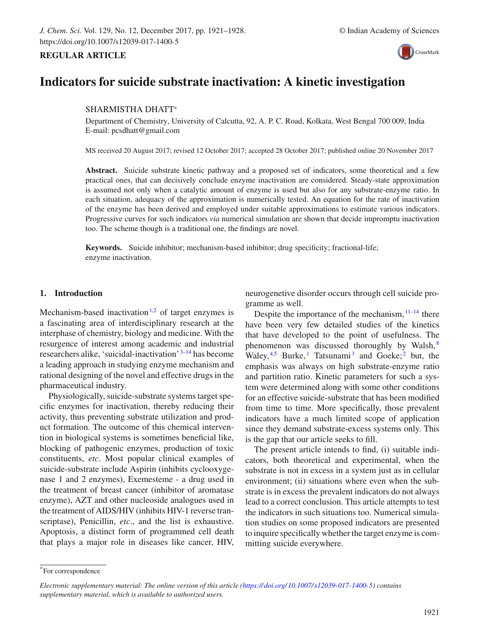# CrossMark

## **Indicators for suicide substrate inactivation: A kinetic investigation**

## SHARMISTHA DHATT<sup>∗</sup>

Department of Chemistry, University of Calcutta, 92, A. P. C. Road, Kolkata, West Bengal 700 009, India E-mail: pcsdhatt@gmail.com

MS received 20 August 2017; revised 12 October 2017; accepted 28 October 2017; published online 20 November 2017

**Abstract.** Suicide substrate kinetic pathway and a proposed set of indicators, some theoretical and a few practical ones, that can decisively conclude enzyme inactivation are considered. Steady-state approximation is assumed not only when a catalytic amount of enzyme is used but also for any substrate-enzyme ratio. In each situation, adequacy of the approximation is numerically tested. An equation for the rate of inactivation of the enzyme has been derived and employed under suitable approximations to estimate various indicators. Progressive curves for such indicators *via* numerical simulation are shown that decide impromptu inactivation too. The scheme though is a traditional one, the findings are novel.

**Keywords.** Suicide inhibitor; mechanism-based inhibitor; drug specificity; fractional-life; enzyme inactivation.

#### **1. Introduction**

**REGULAR ARTICLE**

Mechanism-based inactivation<sup>1,2</sup> of target enzymes is a fascinating area of interdisciplinary research at the interphase of chemistry, biology and medicine. With the resurgence of interest among academic and industrial researchers alike, 'suicidal-inactivation' 3–14 has become a leading approach in studying enzyme mechanism and rational designing of the novel and effective drugs in the pharmaceutical industry.

Physiologically, suicide-substrate systems target specific enzymes for inactivation, thereby reducing their activity, thus preventing substrate utilization and product formation. The outcome of this chemical intervention in biological systems is sometimes beneficial like, blocking of pathogenic enzymes, production of toxic constituents, *etc*. Most popular clinical examples of suicide-substrate include Aspirin (inhibits cyclooxygenase 1 and 2 enzymes), Exemesteme - a drug used in the treatment of breast cancer (inhibitor of aromatase enzyme), AZT and other nucleoside analogues used in the treatment of AIDS/HIV (inhibits HIV-1 reverse transcriptase), Penicillin, *etc*., and the list is exhaustive. Apoptosis, a distinct form of programmed cell death that plays a major role in diseases like cancer, HIV, neurogenetive disorder occurs through cell suicide programme as well.

Despite the importance of the mechanism,  $11-14$  there have been very few detailed studies of the kinetics that have developed to the point of usefulness. The phenomenon was discussed thoroughly by Walsh, <sup>8</sup> Waley,  $4.5$  Burke,  $1$  Tatsunami<sup>3</sup> and Goeke;  $2$  but, the emphasis was always on high substrate-enzyme ratio and partition ratio. Kinetic parameters for such a system were determined along with some other conditions for an effective suicide-substrate that has been modified from time to time. More specifically, those prevalent indicators have a much limited scope of application since they demand substrate-excess systems only. This is the gap that our article seeks to fill.

The present article intends to find, (i) suitable indicators, both theoretical and experimental, when the substrate is not in excess in a system just as in cellular environment; (ii) situations where even when the substrate is in excess the prevalent indicators do not always lead to a correct conclusion. This article attempts to test the indicators in such situations too. Numerical simulation studies on some proposed indicators are presented to inquire specifically whether the target enzyme is committing suicide everywhere.

<sup>\*</sup>For correspondence

*Electronic supplementary material: The online version of this article (https:// doi.org/ 10.1007/ s12039-017-1400-5) contains supplementary material, which is available to authorized users.*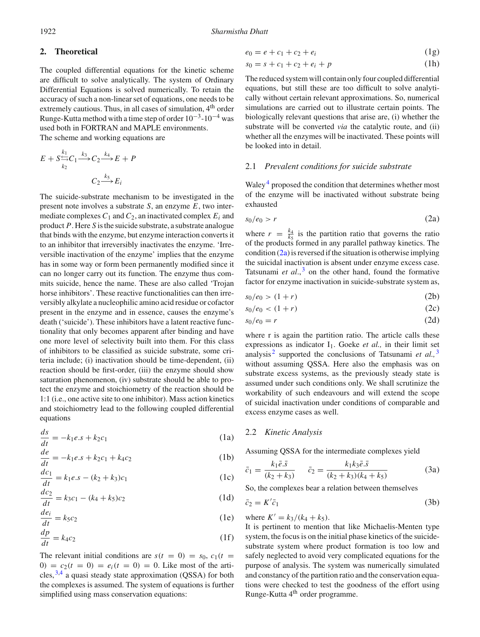1922 *Sharmistha Dhatt*

#### **2. Theoretical**

The coupled differential equations for the kinetic scheme are difficult to solve analytically. The system of Ordinary Differential Equations is solved numerically. To retain the accuracy of such a non-linear set of equations, one needs to be extremely cautious. Thus, in all cases of simulation, 4<sup>th</sup> order Runge-Kutta method with a time step of order  $10^{-3}$ - $10^{-4}$  was used both in FORTRAN and MAPLE environments. The scheme and working equations are

$$
E + S \xrightarrow[k_2]{k_1} C_1 \xrightarrow{k_3} C_2 \xrightarrow{k_4} E + P
$$

$$
C_2 \xrightarrow{k_5} E_i
$$

The suicide-substrate mechanism to be investigated in the present note involves a substrate *S*, an enzyme *E*, two intermediate complexes  $C_1$  and  $C_2$ , an inactivated complex  $E_i$  and product *P*. Here *S* is the suicide substrate, a substrate analogue that binds with the enzyme, but enzyme interaction converts it to an inhibitor that irreversibly inactivates the enzyme. 'Irreversible inactivation of the enzyme' implies that the enzyme has in some way or form been permanently modified since it can no longer carry out its function. The enzyme thus commits suicide, hence the name. These are also called 'Trojan horse inhibitors'. These reactive functionalities can then irreversibly alkylate a nucleophilic amino acid residue or cofactor present in the enzyme and in essence, causes the enzyme's death ('suicide'). These inhibitors have a latent reactive functionality that only becomes apparent after binding and have one more level of selectivity built into them. For this class of inhibitors to be classified as suicide substrate, some criteria include; (i) inactivation should be time-dependent, (ii) reaction should be first-order, (iii) the enzyme should show saturation phenomenon, (iv) substrate should be able to protect the enzyme and stoichiometry of the reaction should be 1:1 (i.e., one active site to one inhibitor). Mass action kinetics and stoichiometry lead to the following coupled differential equations

$$
\frac{ds}{dt} = -k_1 e \cdot s + k_2 c_1 \tag{1a}
$$

$$
\frac{de}{dt} = -k_1 e \cdot s + k_2 c_1 + k_4 c_2 \tag{1b}
$$

$$
\frac{dc_1}{dt} = k_1 e.s - (k_2 + k_3)c_1
$$
 (1c)

$$
\frac{dc_2}{dt} = k_3c_1 - (k_4 + k_5)c_2\tag{1d}
$$

$$
\frac{de_i}{dt} = k_5 c_2 \tag{1e}
$$

$$
\frac{dp}{dt} = k_4 c_2 \tag{1f}
$$

The relevant initial conditions are  $s(t = 0) = s_0$ ,  $c_1(t = 0)$  $0 = c_2(t = 0) = e_i(t = 0) = 0$ . Like most of the articles,  $3,4$  a quasi steady state approximation (QSSA) for both the complexes is assumed. The system of equations is further simplified using mass conservation equations:

$$
e_0 = e + c_1 + c_2 + e_i \tag{1g}
$$

$$
s_0 = s + c_1 + c_2 + e_i + p \tag{1h}
$$

The reduced system will contain only four coupled differential equations, but still these are too difficult to solve analytically without certain relevant approximations. So, numerical simulations are carried out to illustrate certain points. The biologically relevant questions that arise are, (i) whether the substrate will be converted *via* the catalytic route, and (ii) whether all the enzymes will be inactivated. These points will be looked into in detail.

## 2.1 *Prevalent conditions for suicide substrate*

Waley<sup>4</sup> proposed the condition that determines whether most of the enzyme will be inactivated without substrate being exhausted

$$
s_0/e_0 > r \tag{2a}
$$

where  $r = \frac{k_4}{k_5}$  is the partition ratio that governs the ratio of the products formed in any parallel pathway kinetics. The condition (2a) is reversed if the situation is otherwise implying the suicidal inactivation is absent under enzyme excess case. Tatsunami *et al*., <sup>3</sup> on the other hand, found the formative factor for enzyme inactivation in suicide-substrate system as,

$$
s_0/e_0 > (1+r) \tag{2b}
$$

$$
s_0/e_0 < (1+r) \tag{2c}
$$

$$
s_0/e_0 = r \tag{2d}
$$

where r is again the partition ratio. The article calls these expressions as indicator I<sub>1</sub>. Goeke *et al.*, in their limit set analysis<sup>2</sup> supported the conclusions of Tatsunami *et al.*, <sup>3</sup> without assuming QSSA. Here also the emphasis was on substrate excess systems, as the previously steady state is assumed under such conditions only. We shall scrutinize the workability of such endeavours and will extend the scope of suicidal inactivation under conditions of comparable and excess enzyme cases as well.

#### 2.2 *Kinetic Analysis*

Assuming QSSA for the intermediate complexes yield

$$
\bar{c}_1 = \frac{k_1 \bar{e}.\bar{s}}{(k_2 + k_3)} \qquad \bar{c}_2 = \frac{k_1 k_3 \bar{e}.\bar{s}}{(k_2 + k_3)(k_4 + k_5)} \tag{3a}
$$

So, the complexes bear a relation between themselves

$$
=K'\bar{c}_1\tag{3b}
$$

where  $K' = k_3/(k_4 + k_5)$ .

 $\bar{c}_2$ 

It is pertinent to mention that like Michaelis-Menten type system, the focus is on the initial phase kinetics of the suicidesubstrate system where product formation is too low and safely neglected to avoid very complicated equations for the purpose of analysis. The system was numerically simulated and constancy of the partition ratio and the conservation equations were checked to test the goodness of the effort using Runge-Kutta 4th order programme.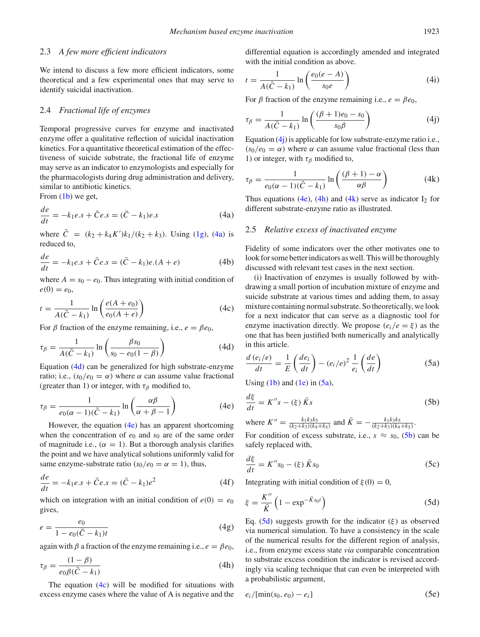#### 2.3 *A few more efficient indicators*

We intend to discuss a few more efficient indicators, some theoretical and a few experimental ones that may serve to identify suicidal inactivation.

#### 2.4 *Fractional life of enzymes*

Temporal progressive curves for enzyme and inactivated enzyme offer a qualitative reflection of suicidal inactivation kinetics. For a quantitative theoretical estimation of the effectiveness of suicide substrate, the fractional life of enzyme may serve as an indicator to enzymologists and especially for the pharmacologists during drug administration and delivery, similar to antibiotic kinetics.

From  $(1b)$  we get.

$$
\frac{de}{dt} = -k_1 e.s + \bar{C}e.s = (\bar{C} - k_1)e.s
$$
\n(4a)

where  $C = (k_2 + k_4 K')k_1/(k_2 + k_3)$ . Using (1g), (4a) is reduced to,

$$
\frac{de}{dt} = -k_1 e.s + \bar{C}e.s = (\bar{C} - k_1)e.(A + e)
$$
 (4b)

where  $A = s_0 - e_0$ . Thus integrating with initial condition of  $e(0) = e_0,$ 

$$
t = \frac{1}{A(\bar{C} - k_1)} \ln\left(\frac{e(A + e_0)}{e_0(A + e)}\right)
$$
(4c)

For  $\beta$  fraction of the enzyme remaining, i.e.,  $e = \beta e_0$ ,

$$
\tau_{\beta} = \frac{1}{A(\bar{C} - k_1)} \ln \left( \frac{\beta s_0}{s_0 - e_0(1 - \beta)} \right) \tag{4d}
$$

Equation (4d) can be generalized for high substrate-enzyme ratio; i.e.,  $(s_0/e_0 = \alpha)$  where  $\alpha$  can assume value fractional (greater than 1) or integer, with  $\tau_\beta$  modified to,

$$
\tau_{\beta} = \frac{1}{e_0(\alpha - 1)(\bar{C} - k_1)} \ln \left( \frac{\alpha \beta}{\alpha + \beta - 1} \right) \tag{4e}
$$

However, the equation (4e) has an apparent shortcoming when the concentration of  $e_0$  and  $s_0$  are of the same order of magnitude i.e.,  $(\alpha = 1)$ . But a thorough analysis clarifies the point and we have analytical solutions uniformly valid for same enzyme-substrate ratio  $(s_0/e_0 = \alpha = 1)$ , thus,

$$
\frac{de}{dt} = -k_1 e.s + \bar{C}e.s = (\bar{C} - k_1)e^2
$$
 (4f)

which on integration with an initial condition of  $e(0) = e_0$ gives,

$$
e = \frac{e_0}{1 - e_0(\bar{C} - k_1)t}
$$
(4g)

again with  $\beta$  a fraction of the enzyme remaining i.e.,  $e = \beta e_0$ ,

$$
\tau_{\beta} = \frac{(1 - \beta)}{e_0 \beta (\bar{C} - k_1)}\tag{4h}
$$

The equation  $(4c)$  will be modified for situations with excess enzyme cases where the value of A is negative and the differential equation is accordingly amended and integrated with the initial condition as above.

$$
t = \frac{1}{A(\bar{C} - k_1)} \ln\left(\frac{e_0(e - A)}{s_0 e}\right)
$$
(4i)

For  $\beta$  fraction of the enzyme remaining i.e.,  $e = \beta e_0$ ,

$$
\tau_{\beta} = \frac{1}{A(\bar{C} - k_1)} \ln \left( \frac{(\beta + 1)e_0 - s_0}{s_0 \beta} \right)
$$
(4j)

Equation (4j) is applicable for low substrate-enzyme ratio i.e.,  $(s_0/e_0 = \alpha)$  where  $\alpha$  can assume value fractional (less than 1) or integer, with  $\tau_\beta$  modified to,

$$
\tau_{\beta} = \frac{1}{e_0(\alpha - 1)(\bar{C} - k_1)} \ln\left(\frac{(\beta + 1) - \alpha}{\alpha \beta}\right) \tag{4k}
$$

Thus equations (4e), (4h) and (4k) serve as indicator  $I_2$  for different substrate-enzyme ratio as illustrated.

#### 2.5 *Relative excess of inactivated enzyme*

Fidelity of some indicators over the other motivates one to look for some better indicators as well. This will be thoroughly discussed with relevant test cases in the next section.

(i) Inactivation of enzymes is usually followed by withdrawing a small portion of incubation mixture of enzyme and suicide substrate at various times and adding them, to assay mixture containing normal substrate. So theoretically, we look for a next indicator that can serve as a diagnostic tool for enzyme inactivation directly. We propose  $(e_i/e = \xi)$  as the one that has been justified both numerically and analytically in this article.

$$
\frac{d(e_i/e)}{dt} = \frac{1}{E} \left( \frac{de_i}{dt} \right) - (e_i/e)^2 \frac{1}{e_i} \left( \frac{de}{dt} \right)
$$
(5a)

Using  $(1b)$  and  $(1e)$  in  $(5a)$ ,

$$
\frac{d\xi}{dt} = K''s - (\xi)\,\bar{K}s\tag{5b}
$$

where  $K'' = \frac{k_1 k_3 k_5}{(k_2 + k_3)(k_4 + k_5)}$  and  $\bar{K} = -\frac{k_1 k_3 k_5}{(k_2 + k_3)(k_4 + k_5)}$ .

For condition of excess substrate, i.e.,  $s \approx s_0$ , (5b) can be safely replaced with,

$$
\frac{d\xi}{dt} = K''s_0 - (\xi)\bar{K}s_0
$$
\n(5c)

Integrating with initial condition of  $\xi(0) = 0$ ,

$$
\xi = \frac{K''}{\bar{K}} \left( 1 - \exp^{-\bar{K}s_0 t} \right) \tag{5d}
$$

Eq. (5d) suggests growth for the indicator  $(\xi)$  as observed via numerical simulation. To have a consistency in the scale of the numerical results for the different region of analysis, i.e., from enzyme excess state *via* comparable concentration to substrate excess condition the indicator is revised accordingly via scaling technique that can even be interpreted with a probabilistic argument,

$$
e_i/[\min(s_0, e_0) - e_i]
$$
 (5e)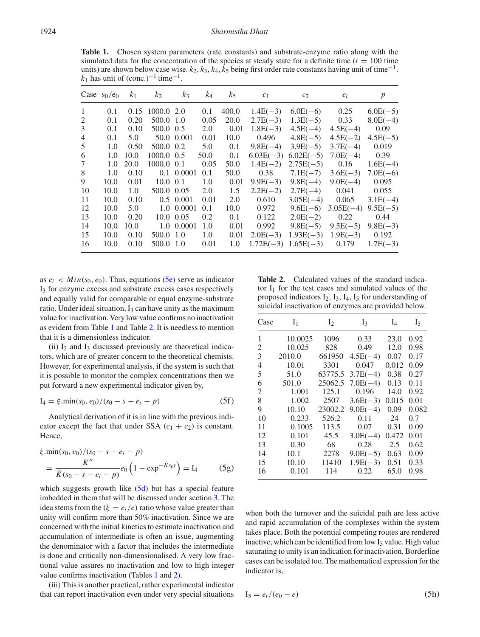**Table 1.** Chosen system parameters (rate constants) and substrate-enzyme ratio along with the simulated data for the concentration of the species at steady state for a definite time  $(t = 100$  time units) are shown below case wise.  $k_2$ ,  $k_3$ ,  $k_4$ ,  $k_5$  being first order rate constants having unit of time<sup>-1</sup>.  $k_1$  has unit of (conc.)<sup>-1</sup> time<sup>-1</sup>.

|                | Case $s_0/e_0$ | k <sub>1</sub> | k <sub>2</sub> | $k_3$         | $k_4$ | k <sub>5</sub> | c <sub>1</sub> | c <sub>2</sub> | $e_i$       | $\boldsymbol{p}$ |
|----------------|----------------|----------------|----------------|---------------|-------|----------------|----------------|----------------|-------------|------------------|
| 1              | 0.1            | 0.15           | 1000.0 2.0     |               | 0.1   | 400.0          | $1.4E(-3)$     | $6.0E(-6)$     | 0.25        | $6.0E(-5)$       |
| 2              | 0.1            | 0.20           | 500.0 1.0      |               | 0.05  | 20.0           | $2.7E(-3)$     | $1.3E(-5)$     | 0.33        | $8.0E(-4)$       |
| 3              | 0.1            | 0.10           | 500.0 0.5      |               | 2.0   | 0.01           | $1.8E(-3)$     | $4.5E(-4)$     | $4.5E(-4)$  | 0.09             |
| $\overline{4}$ | 0.1            | 5.0            |                | 50.0 0.001    | 0.01  | 10.0           | 0.496          | $4.8E(-5)$     | $4.5E(-2)$  | $4.5E(-5)$       |
| 5              | 1.0            | 0.50           | 500.0 0.2      |               | 5.0   | 0.1            | $9.8E(-4)$     | $3.9E(-5)$     | $3.7E(-4)$  | 0.019            |
| 6              | 1.0            | 10.0           | 1000.0 0.5     |               | 50.0  | 0.1            | $6.03E(-3)$    | $6.02E(-5)$    | $7.0E(-4)$  | 0.39             |
| 7              | 1.0            | 20.0           | 1000.0 0.1     |               | 0.05  | 50.0           | $1.4E(-2)$     | $2.75E(-5)$    | 0.16        | $1.6E(-4)$       |
| 8              | 1.0            | 0.10           |                | 0.1 0.0001    | 0.1   | 50.0           | 0.38           | $7.1E(-7)$     | $3.6E(-3)$  | $7.0E(-6)$       |
| 9              | 10.0           | 0.01           | $10.0 \ \ 0.1$ |               | 1.0   | 0.01           | $9.9E(-3)$     | $9.8E(-4)$     | $9.0E(-4)$  | 0.095            |
| 10             | 10.0           | 1.0            | 500.0 0.05     |               | 2.0   | 1.5            | $2.2E(-2)$     | $2.7E(-4)$     | 0.041       | 0.055            |
| 11             | 10.0           | 0.10           |                | $0.5 \ 0.001$ | 0.01  | 2.0            | 0.610          | $3.05E(-4)$    | 0.065       | $3.1E(-4)$       |
| 12             | 10.0           | 5.0            |                | 1.0 0.0001    | 0.1   | 10.0           | 0.972          | $9.6E(-6)$     | $3.05E(-4)$ | $9.5E(-5)$       |
| 13             | 10.0           | 0.20           |                | 10.0 0.05     | 0.2   | 0.1            | 0.122          | $2.0E(-2)$     | 0.22        | 0.44             |
| 14             | 10.0           | 10.0           |                | 1.0 0.0001    | 1.0   | 0.01           | 0.992          | $9.8E(-5)$     | $9.5E(-5)$  | $9.8E(-3)$       |
| 15             | 10.0           | 0.10           | 500.0 1.0      |               | 1.0   | 0.01           | $2.0E(-3)$     | $1.93E(-3)$    | $1.9E(-3)$  | 0.192            |
| 16             | 10.0           | 0.10           | 500.0 1.0      |               | 0.01  | 1.0            | $1.72E(-3)$    | $1.65E(-3)$    | 0.179       | $1.7E(-3)$       |

as  $e_i$  <  $Min(s_0, e_0)$ . Thus, equations (5e) serve as indicator I3 for enzyme excess and substrate excess cases respectively and equally valid for comparable or equal enzyme-substrate ratio. Under ideal situation,  $I_3$  can have unity as the maximum value for inactivation. Very low value confirms no inactivation as evident from Table 1 and Table 2. It is needless to mention that it is a dimensionless indicator.

(ii)  $I_2$  and  $I_3$  discussed previously are theoretical indicators, which are of greater concern to the theoretical chemists. However, for experimental analysis, if the system is such that it is possible to monitor the complex concentrations then we put forward a new experimental indicator given by,

$$
I_4 = \xi \cdot \min(s_0, e_0) / (s_0 - s - e_i - p) \tag{5f}
$$

Analytical derivation of it is in line with the previous indicator except the fact that under SSA  $(c_1 + c_2)$  is constant. Hence,

$$
\xi \min(s_0, e_0)/(s_0 - s - e_i - p)
$$
  
=  $\frac{K''}{\bar{K}(s_0 - s - e_i - p)} e_0 \left(1 - \exp^{-\bar{K}s_0 t}\right) = I_4$  (5g)

which suggests growth like  $(5d)$  but has a special feature imbedded in them that will be discussed under section 3. The idea stems from the  $(\xi = e_i/e)$  ratio whose value greater than unity will confirm more than 50% inactivation. Since we are concerned with the initial kinetics to estimate inactivation and accumulation of intermediate is often an issue, augmenting the denominator with a factor that includes the intermediate is done and critically non-dimensionalised. A very low fractional value assures no inactivation and low to high integer value confirms inactivation (Tables 1 and 2).

(iii) This is another practical, rather experimental indicator that can report inactivation even under very special situations

**Table 2.** Calculated values of the standard indicator  $I_1$  for the test cases and simulated values of the proposed indicators  $I_2$ ,  $I_3$ ,  $I_4$ ,  $I_5$  for understanding of suicidal inactivation of enzymes are provided below.

| Case | I <sub>1</sub> | I <sub>2</sub> | I <sub>3</sub> | $I_4$ | I5    |
|------|----------------|----------------|----------------|-------|-------|
| 1    | 10.0025        | 1096           | 0.33           | 23.0  | 0.92  |
| 2    | 10.025         | 828            | 0.49           | 12.0  | 0.98  |
| 3    | 2010.0         | 661950         | $4.5E(-4)$     | 0.07  | 0.17  |
| 4    | 10.01          | 3301           | 0.047          | 0.012 | 0.09  |
| 5    | 51.0           | 63775.5        | $3.7E(-4)$     | 0.38  | 0.27  |
| 6    | 501.0          | 25062.5        | $7.0E(-4)$     | 0.13  | 0.11  |
| 7    | 1.001          | 125.1          | 0.196          | 14.0  | 0.92  |
| 8    | 1.002          | 2507           | $3.6E(-3)$     | 0.015 | 0.01  |
| 9    | 10.10          | 23002.2        | $9.0E(-4)$     | 0.09  | 0.082 |
| 10   | 0.233          | 526.2          | 0.11           | 24    | 0.7   |
| 11   | 0.1005         | 113.5          | 0.07           | 0.31  | 0.09  |
| 12   | 0.101          | 45.5           | $3.0E(-4)$     | 0.472 | 0.01  |
| 13   | 0.30           | 68             | 0.28           | 2.5   | 0.62  |
| 14   | 10.1           | 2278           | $9.0E(-5)$     | 0.63  | 0.09  |
| 15   | 10.10          | 11410          | $1.9E(-3)$     | 0.51  | 0.33  |
| 16   | 0.101          | 114            | 0.22           | 65.0  | 0.98  |

when both the turnover and the suicidal path are less active and rapid accumulation of the complexes within the system takes place. Both the potential competing routes are rendered inactive, which can be identified from low  $I<sub>5</sub>$  value. High value saturating to unity is an indication for inactivation. Borderline cases can be isolated too. The mathematical expression for the indicator is,

$$
I_5 = e_i/(e_0 - e) \tag{5h}
$$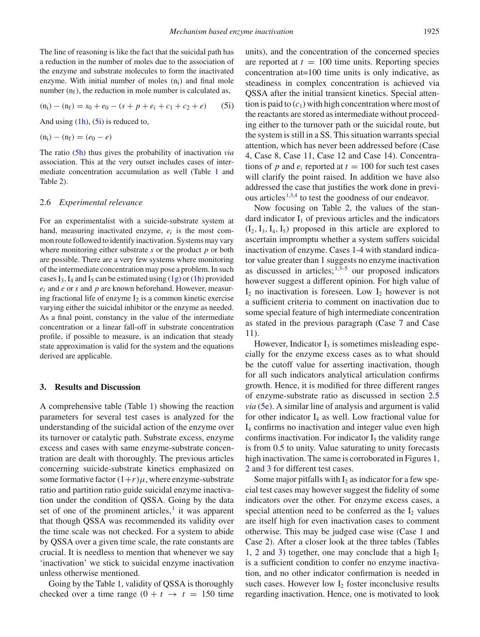$$
(n_i) - (n_f) = s_0 + e_0 - (s + p + e_i + c_1 + c_2 + e)
$$
 (5i)

And using  $(1h)$ ,  $(5i)$  is reduced to,

$$
(n_i)-(n_f)=(e_0-e)
$$

The ratio (5h) thus gives the probability of inactivation *via* association. This at the very outset includes cases of intermediate concentration accumulation as well (Table 1 and Table 2).

#### 2.6 *Experimental relevance*

For an experimentalist with a suicide-substrate system at hand, measuring inactivated enzyme, *ei* is the most common route followed to identify inactivation. Systems may vary where monitoring either substrate *s* or the product *p* or both are possible. There are a very few systems where monitoring of the intermediate concentration may pose a problem. In such cases I<sub>3</sub>, I<sub>4</sub> and I<sub>5</sub> can be estimated using  $(1g)$  or  $(1h)$  provided *ei* and *e* or *s* and *p* are known beforehand. However, measuring fractional life of enzyme  $I_2$  is a common kinetic exercise varying either the suicidal inhibitor or the enzyme as needed. As a final point, constancy in the value of the intermediate concentration or a linear fall-off in substrate concentration profile, if possible to measure, is an indication that steady state approximation is valid for the system and the equations derived are applicable.

#### **3. Results and Discussion**

A comprehensive table (Table 1) showing the reaction parameters for several test cases is analyzed for the understanding of the suicidal action of the enzyme over its turnover or catalytic path. Substrate excess, enzyme excess and cases with same enzyme-substrate concentration are dealt with thoroughly. The previous articles concerning suicide-substrate kinetics emphasized on some formative factor  $(1+r)\mu$ , where enzyme-substrate ratio and partition ratio guide suicidal enzyme inactivation under the condition of QSSA. Going by the data set of one of the prominent articles, $\frac{1}{1}$  it was apparent that though QSSA was recommended its validity over the time scale was not checked. For a system to abide by QSSA over a given time scale, the rate constants are crucial. It is needless to mention that whenever we say 'inactivation' we stick to suicidal enzyme inactivation unless otherwise mentioned.

Going by the Table 1, validity of QSSA is thoroughly checked over a time range  $(0 + t \rightarrow t = 150$  time units), and the concentration of the concerned species are reported at  $t = 100$  time units. Reporting species concentration at=100 time units is only indicative, as steadiness in complex concentration is achieved via QSSA after the initial transient kinetics. Special attention is paid to  $(c_1)$  with high concentration where most of the reactants are stored as intermediate without proceeding either to the turnover path or the suicidal route, but the system is still in a SS. This situation warrants special attention, which has never been addressed before (Case 4, Case 8, Case 11, Case 12 and Case 14). Concentrations of *p* and  $e_i$  reported at  $t = 100$  for such test cases will clarify the point raised. In addition we have also addressed the case that justifies the work done in previous articles  $1,3,4$  to test the goodness of our endeavor.

Now focusing on Table 2, the values of the standard indicator  $I_1$  of previous articles and the indicators  $(I_2, I_3, I_4, I_5)$  proposed in this article are explored to ascertain impromptu whether a system suffers suicidal inactivation of enzyme. Cases 1-4 with standard indicator value greater than 1 suggests no enzyme inactivation as discussed in articles;  $1,3-5$  our proposed indicators however suggest a different opinion. For high value of  $I_2$  no inactivation is foreseen. Low  $I_2$  however is not a sufficient criteria to comment on inactivation due to some special feature of high intermediate concentration as stated in the previous paragraph (Case 7 and Case 11).

However, Indicator  $I_3$  is sometimes misleading especially for the enzyme excess cases as to what should be the cutoff value for asserting inactivation, though for all such indicators analytical articulation confirms growth. Hence, it is modified for three different ranges of enzyme-substrate ratio as discussed in section 2.5 *via* (5e). A similar line of analysis and argument is valid for other indicator  $I_4$  as well. Low fractional value for I4 confirms no inactivation and integer value even high confirms inactivation. For indicator  $I_5$  the validity range is from 0.5 to unity. Value saturating to unity forecasts high inactivation. The same is corroborated in Figures 1, 2 and 3 for different test cases.

Some major pitfalls with  $I_2$  as indicator for a few special test cases may however suggest the fidelity of some indicators over the other. For enzyme excess cases, a special attention need to be conferred as the  $I_2$  values are itself high for even inactivation cases to comment otherwise. This may be judged case wise (Case 1 and Case 2). After a closer look at the three tables (Tables 1, 2 and 3) together, one may conclude that a high  $I_2$ is a sufficient condition to confer no enzyme inactivation, and no other indicator confirmation is needed in such cases. However low  $I_2$  foster inconclusive results regarding inactivation. Hence, one is motivated to look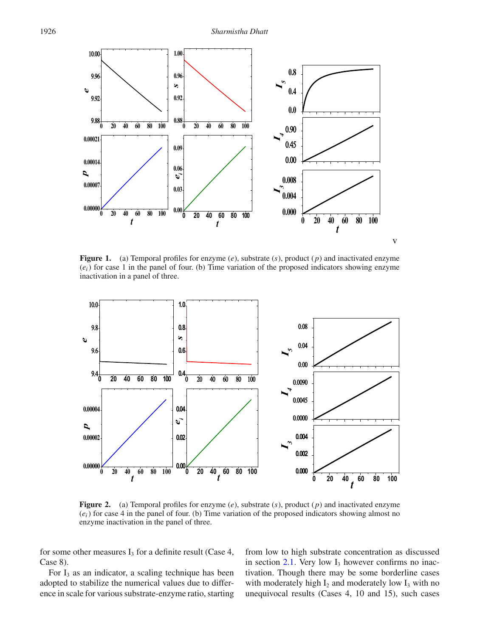

**Figure 1.** (a) Temporal profiles for enzyme (*e*), substrate (*s*), product (*p*) and inactivated enzyme  $(e_i)$  for case 1 in the panel of four. (b) Time variation of the proposed indicators showing enzyme inactivation in a panel of three.



**Figure 2.** (a) Temporal profiles for enzyme (*e*), substrate (*s*), product (*p*) and inactivated enzyme  $(e_i)$  for case 4 in the panel of four. (b) Time variation of the proposed indicators showing almost no enzyme inactivation in the panel of three.

for some other measures  $I_3$  for a definite result (Case 4, Case 8).

For  $I_3$  as an indicator, a scaling technique has been adopted to stabilize the numerical values due to difference in scale for various substrate-enzyme ratio, starting from low to high substrate concentration as discussed in section  $2.1$ . Very low  $I_3$  however confirms no inactivation. Though there may be some borderline cases with moderately high  $I_2$  and moderately low  $I_3$  with no unequivocal results (Cases 4, 10 and 15), such cases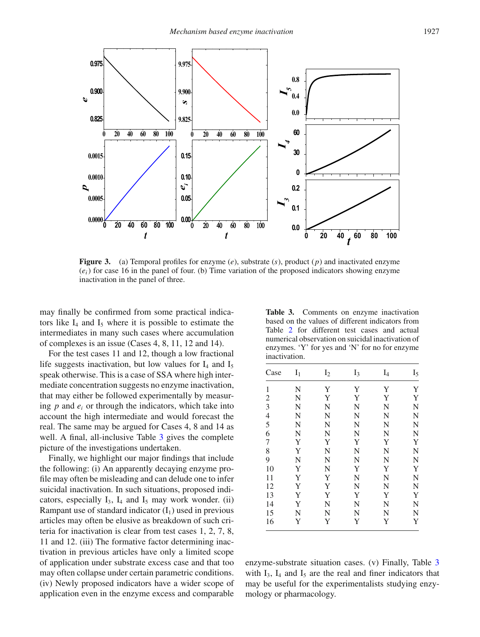

**Figure 3.** (a) Temporal profiles for enzyme (*e*), substrate (*s*), product (*p*) and inactivated enzyme (*ei*) for case 16 in the panel of four. (b) Time variation of the proposed indicators showing enzyme inactivation in the panel of three.

may finally be confirmed from some practical indicators like  $I_4$  and  $I_5$  where it is possible to estimate the intermediates in many such cases where accumulation of complexes is an issue (Cases 4, 8, 11, 12 and 14).

For the test cases 11 and 12, though a low fractional life suggests inactivation, but low values for  $I_4$  and  $I_5$ speak otherwise. This is a case of SSA where high intermediate concentration suggests no enzyme inactivation, that may either be followed experimentally by measuring  $p$  and  $e_i$  or through the indicators, which take into account the high intermediate and would forecast the real. The same may be argued for Cases 4, 8 and 14 as well. A final, all-inclusive Table 3 gives the complete picture of the investigations undertaken.

Finally, we highlight our major findings that include the following: (i) An apparently decaying enzyme profile may often be misleading and can delude one to infer suicidal inactivation. In such situations, proposed indicators, especially  $I_3$ ,  $I_4$  and  $I_5$  may work wonder. (ii) Rampant use of standard indicator  $(I_1)$  used in previous articles may often be elusive as breakdown of such criteria for inactivation is clear from test cases 1, 2, 7, 8, 11 and 12. (iii) The formative factor determining inactivation in previous articles have only a limited scope of application under substrate excess case and that too may often collapse under certain parametric conditions. (iv) Newly proposed indicators have a wider scope of application even in the enzyme excess and comparable

|               | based on the values of different indicators from  |  |               |
|---------------|---------------------------------------------------|--|---------------|
|               | Table 2 for different test cases and actual       |  |               |
|               | numerical observation on suicidal inactivation of |  |               |
|               | enzymes. 'Y' for yes and 'N' for no for enzyme    |  |               |
| inactivation. |                                                   |  |               |
|               | Case $I_1$ $I_2$ $I_3$ $I_4$                      |  | $\frac{1}{5}$ |
|               |                                                   |  |               |

**Table 3.** Comments on enzyme inactivation

| Case           | $I_1$ | I <sub>2</sub> | $I_3$       | $I_4$ | $I_5$ |
|----------------|-------|----------------|-------------|-------|-------|
| 1              | N     | Y              | Y           | Y     | Y     |
| $\overline{c}$ | N     | Y              | Y           | Y     | Y     |
| 3              | N     | N              | N           | N     | N     |
| $\overline{4}$ | N     | N              | N           | N     | N     |
| 5              | N     | N              | N           | N     | N     |
| 6              | N     | N              | N           | N     | N     |
| $\overline{7}$ | Y     | Y              | $\mathbf Y$ | Y     | Y     |
| 8              | Y     | N              | $\mathbf N$ | N     | N     |
| 9              | N     | N              | $\mathbf N$ | N     | N     |
| 10             | Y     | N              | Y           | Y     | Y     |
| 11             | Y     | $\mathbf Y$    | $\mathbf N$ | N     | N     |
| 12             | Y     | Y              | $\mathbf N$ | N     | N     |
| 13             | Y     | Y              | Y           | Y     | Y     |
| 14             | Y     | N              | N           | N     | N     |
| 15             | N     | N              | N           | N     | N     |
| 16             | Y     | Y              | Y           | Y     | Y     |

enzyme-substrate situation cases. (v) Finally, Table 3 with  $I_3$ ,  $I_4$  and  $I_5$  are the real and finer indicators that may be useful for the experimentalists studying enzymology or pharmacology.